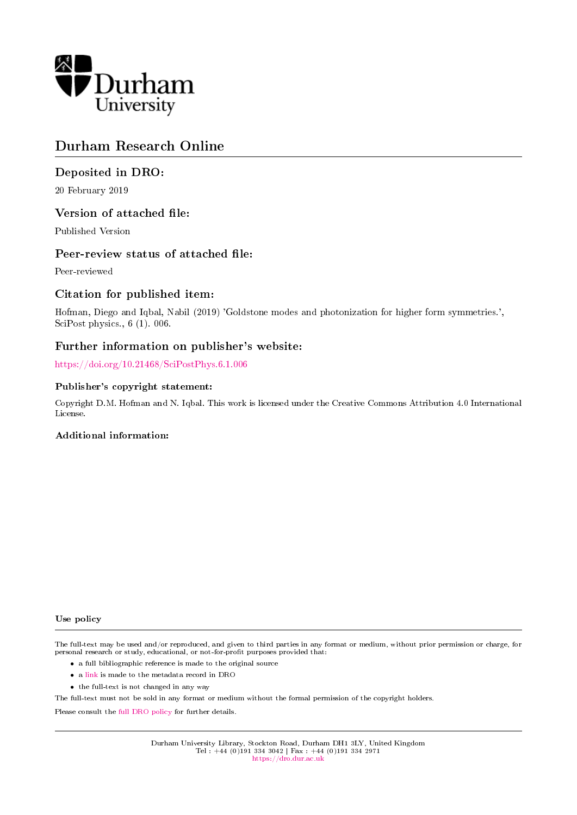

# Durham Research Online

## Deposited in DRO:

20 February 2019

### Version of attached file:

Published Version

#### Peer-review status of attached file:

Peer-reviewed

## Citation for published item:

Hofman, Diego and Iqbal, Nabil (2019) 'Goldstone modes and photonization for higher form symmetries.', SciPost physics., 6 (1). 006.

### Further information on publisher's website:

<https://doi.org/10.21468/SciPostPhys.6.1.006>

#### Publisher's copyright statement:

Copyright D.M. Hofman and N. Iqbal. This work is licensed under the Creative Commons Attribution 4.0 International License.

#### Additional information:

Use policy

The full-text may be used and/or reproduced, and given to third parties in any format or medium, without prior permission or charge, for personal research or study, educational, or not-for-profit purposes provided that:

- a full bibliographic reference is made to the original source
- a [link](http://dro.dur.ac.uk/27483/) is made to the metadata record in DRO
- the full-text is not changed in any way

The full-text must not be sold in any format or medium without the formal permission of the copyright holders.

Please consult the [full DRO policy](https://dro.dur.ac.uk/policies/usepolicy.pdf) for further details.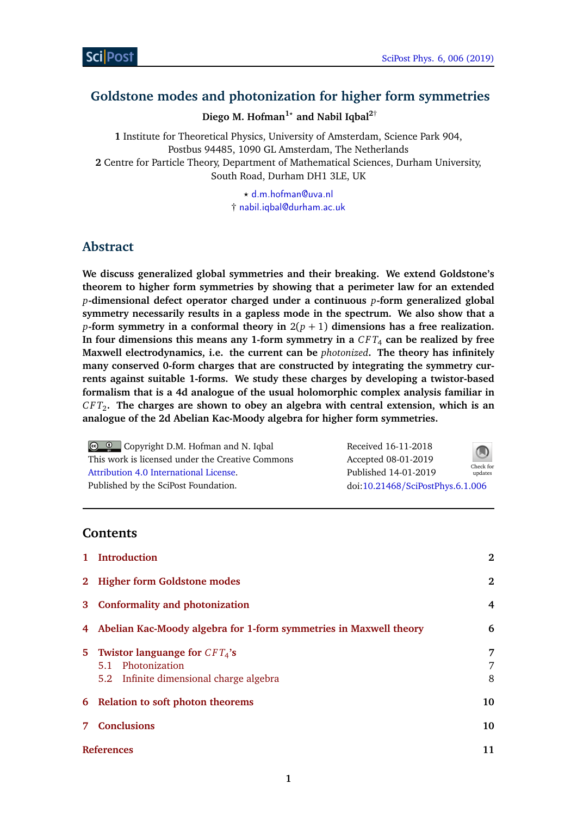# **Goldstone modes and photonization for higher form symmetries**

Diego M. Hofman<sup>1</sup><sup>*\**</sup> and Nabil Iqbal<sup>2†</sup>

**1** Institute for Theoretical Physics, University of Amsterdam, Science Park 904, Postbus 94485, 1090 GL Amsterdam, The Netherlands **2** Centre for Particle Theory, Department of Mathematical Sciences, Durham University, South Road, Durham DH1 3LE, UK

> *?* [d.m.hofman@uva.nl](mailto:d.m.hofman@uva.nl) † [nabil.iqbal@durham.ac.uk](mailto:nabil.iqbal@durham.ac.uk)

## **Abstract**

**We discuss generalized global symmetries and their breaking. We extend Goldstone's theorem to higher form symmetries by showing that a perimeter law for an extended** *p***-dimensional defect operator charged under a continuous** *p***-form generalized global symmetry necessarily results in a gapless mode in the spectrum. We also show that a** *p***-form symmetry in a conformal theory in**  $2(p + 1)$  dimensions has a free realization. **In four dimensions this means any 1-form symmetry in a** *C F T*<sup>4</sup> **can be realized by free Maxwell electrodynamics, i.e. the current can be** *photonized***. The theory has infinitely many conserved 0-form charges that are constructed by integrating the symmetry currents against suitable 1-forms. We study these charges by developing a twistor-based formalism that is a 4d analogue of the usual holomorphic complex analysis familiar in** *C F T*<sup>2</sup> **. The charges are shown to obey an algebra with central extension, which is an analogue of the 2d Abelian Kac-Moody algebra for higher form symmetries.**

Copyright D.M. Hofman and N. Iqbal This work is licensed under the Creative Commons [Attribution 4.0 International License.](http://creativecommons.org/licenses/by/4.0/) Published by the SciPost Foundation.

| Received 16-11-2018              | Check for<br>updates |
|----------------------------------|----------------------|
| Accepted 08-01-2019              |                      |
| Published 14-01-2019             |                      |
| doi:10.21468/SciPostPhys.6.1.006 |                      |

## **Contents**

|   | 1 Introduction                                                                                     | $\mathbf{2}$ |
|---|----------------------------------------------------------------------------------------------------|--------------|
|   | 2 Higher form Goldstone modes                                                                      | $\mathbf{2}$ |
|   | 3 Conformality and photonization                                                                   | 4            |
|   | 4 Abelian Kac-Moody algebra for 1-form symmetries in Maxwell theory                                | 6            |
|   | 5 Twistor languange for $CFT_4$ 's<br>5.1 Photonization<br>5.2 Infinite dimensional charge algebra | 7<br>7<br>8  |
|   | 6 Relation to soft photon theorems                                                                 | 10           |
| 7 | <b>Conclusions</b>                                                                                 | 10           |
|   | <b>References</b>                                                                                  | 11           |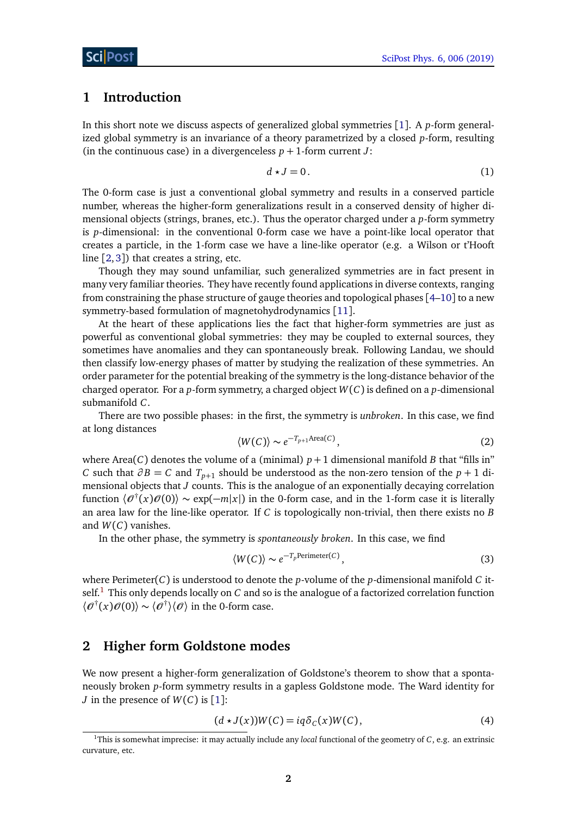### <span id="page-2-0"></span>**1 Introduction**

In this short note we discuss aspects of generalized global symmetries [[1](#page-11-0)]. A *p*-form generalized global symmetry is an invariance of a theory parametrized by a closed *p*-form, resulting (in the continuous case) in a divergenceless  $p + 1$ -form current *J*:

$$
d \star J = 0. \tag{1}
$$

The 0-form case is just a conventional global symmetry and results in a conserved particle number, whereas the higher-form generalizations result in a conserved density of higher dimensional objects (strings, branes, etc.). Thus the operator charged under a *p*-form symmetry is *p*-dimensional: in the conventional 0-form case we have a point-like local operator that creates a particle, in the 1-form case we have a line-like operator (e.g. a Wilson or t'Hooft line [[2,](#page-11-1)[3](#page-11-2)]) that creates a string, etc.

Though they may sound unfamiliar, such generalized symmetries are in fact present in many very familiar theories. They have recently found applications in diverse contexts, ranging from constraining the phase structure of gauge theories and topological phases [[4](#page-11-3)[–10](#page-12-0)] to a new symmetry-based formulation of magnetohydrodynamics [[11](#page-12-1)].

At the heart of these applications lies the fact that higher-form symmetries are just as powerful as conventional global symmetries: they may be coupled to external sources, they sometimes have anomalies and they can spontaneously break. Following Landau, we should then classify low-energy phases of matter by studying the realization of these symmetries. An order parameter for the potential breaking of the symmetry is the long-distance behavior of the charged operator. For a *p*-form symmetry, a charged object *W*(*C*) is defined on a *p*-dimensional submanifold *C*.

<span id="page-2-5"></span>There are two possible phases: in the first, the symmetry is *unbroken*. In this case, we find at long distances

$$
\langle W(C) \rangle \sim e^{-T_{p+1} \text{Area}(C)},\tag{2}
$$

where Area(*C*) denotes the volume of a (minimal)  $p + 1$  dimensional manifold *B* that "fills in" *C* such that *∂ B* = *C* and *Tp*+<sup>1</sup> should be understood as the non-zero tension of the *p* + 1 dimensional objects that *J* counts. This is the analogue of an exponentially decaying correlation function  $\langle \mathcal{O}^\dagger(x)\mathcal{O}(0)\rangle \sim \exp(-m|x|)$  in the 0-form case, and in the 1-form case it is literally an area law for the line-like operator. If *C* is topologically non-trivial, then there exists no *B* and *W*(*C*) vanishes.

In the other phase, the symmetry is *spontaneously broken*. In this case, we find

<span id="page-2-3"></span>
$$
\langle W(C) \rangle \sim e^{-T_p \text{Perimeter}(C)},\tag{3}
$$

where Perimeter(*C*) is understood to denote the *p*-volume of the *p*-dimensional manifold *C* itself.[1](#page-2-2) This only depends locally on *C* and so is the analogue of a factorized correlation function  $\langle \mathcal{O}^\dagger(x) \mathcal{O}(0) \rangle \sim \langle \mathcal{O}^\dagger \rangle \langle \mathcal{O} \rangle$  in the 0-form case.

## <span id="page-2-1"></span>**2 Higher form Goldstone modes**

We now present a higher-form generalization of Goldstone's theorem to show that a spontaneously broken *p*-form symmetry results in a gapless Goldstone mode. The Ward identity for *J* in the presence of  $W(C)$  is [[1](#page-11-0)]:

<span id="page-2-4"></span>
$$
(d \star J(x))W(C) = iq\delta_C(x)W(C), \qquad (4)
$$

<span id="page-2-2"></span><sup>1</sup>This is somewhat imprecise: it may actually include any *local* functional of the geometry of *C*, e.g. an extrinsic curvature, etc.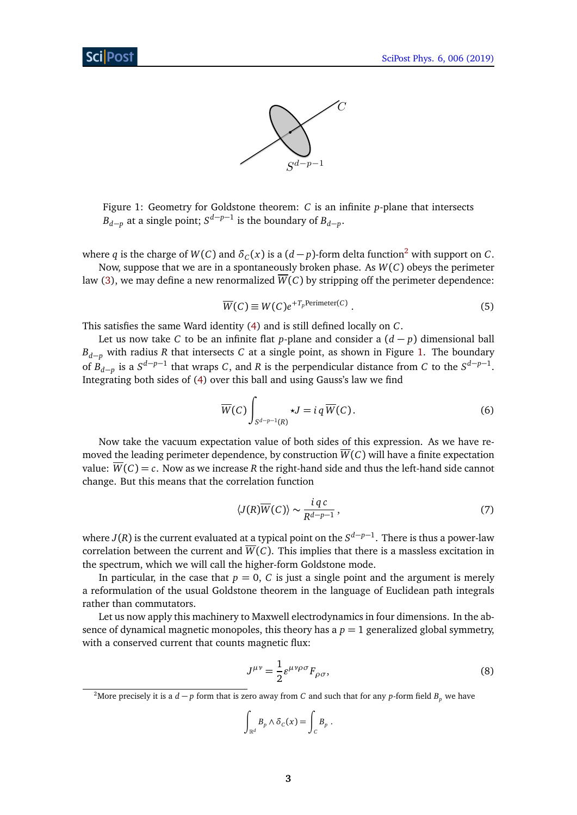

<span id="page-3-1"></span>Figure 1: Geometry for Goldstone theorem: *C* is an infinite *p*-plane that intersects  $B_{d-p}$  at a single point;  $S^{d-p-1}$  is the boundary of  $B_{d-p}$ .

where  $q$  is the charge of  $W(C)$  and  $\delta_C(x)$  is a  $(d-p)$ -form delta function<sup>[2](#page-3-0)</sup> with support on  $C$ . Now, suppose that we are in a spontaneously broken phase. As *W*(*C*) obeys the perimeter

law [\(3\)](#page-2-3), we may define a new renormalized  $\overline{W}(C)$  by stripping off the perimeter dependence:

$$
\overline{W}(C) \equiv W(C)e^{+T_p \text{Perimeter}(C)}\,. \tag{5}
$$

This satisfies the same Ward identity [\(4\)](#page-2-4) and is still defined locally on *C*.

Let us now take *C* to be an infinite flat *p*-plane and consider a  $(d - p)$  dimensional ball *B*<sub>*d*−*p*</sub> with radius *R* that intersects *C* at a single point, as shown in Figure [1.](#page-3-1) The boundary of  $B_{d-p}$  is a  $S^{d-p-1}$  that wraps *C*, and *R* is the perpendicular distance from *C* to the  $S^{d-p-1}$ . Integrating both sides of [\(4\)](#page-2-4) over this ball and using Gauss's law we find

$$
\overline{W}(C)\int_{S^{d-p-1}(R)} \star J = i q \overline{W}(C). \tag{6}
$$

Now take the vacuum expectation value of both sides of this expression. As we have removed the leading perimeter dependence, by construction *W*(*C*) will have a finite expectation value:  $\overline{W}(C) = c$ . Now as we increase R the right-hand side and thus the left-hand side cannot change. But this means that the correlation function

$$
\langle J(R)\overline{W}(C)\rangle \sim \frac{i\,q\,c}{R^{d-p-1}},\tag{7}
$$

where *J*(*R*) is the current evaluated at a typical point on the *S d*−*p*−1 . There is thus a power-law correlation between the current and  $\overline{W}(C)$ . This implies that there is a massless excitation in the spectrum, which we will call the higher-form Goldstone mode.

In particular, in the case that  $p = 0$ , C is just a single point and the argument is merely a reformulation of the usual Goldstone theorem in the language of Euclidean path integrals rather than commutators.

Let us now apply this machinery to Maxwell electrodynamics in four dimensions. In the absence of dynamical magnetic monopoles, this theory has a  $p = 1$  generalized global symmetry, with a conserved current that counts magnetic flux:

<span id="page-3-2"></span>
$$
J^{\mu\nu} = \frac{1}{2} \varepsilon^{\mu\nu\rho\sigma} F_{\rho\sigma},\tag{8}
$$

$$
\int_{\mathbb{R}^d} B_p \wedge \delta_C(x) = \int_C B_p.
$$

<span id="page-3-0"></span><sup>&</sup>lt;sup>2</sup>More precisely it is a *d* − *p* form that is zero away from *C* and such that for any *p*-form field  $B_p$  we have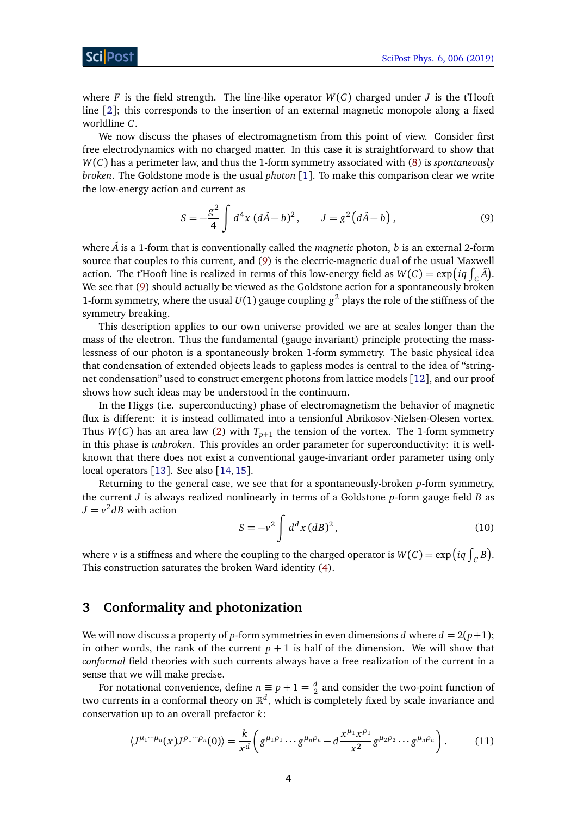where  $F$  is the field strength. The line-like operator  $W(C)$  charged under  $J$  is the t'Hooft line [[2](#page-11-1)]; this corresponds to the insertion of an external magnetic monopole along a fixed worldline *C*.

We now discuss the phases of electromagnetism from this point of view. Consider first free electrodynamics with no charged matter. In this case it is straightforward to show that *W*(*C*) has a perimeter law, and thus the 1-form symmetry associated with [\(8\)](#page-3-2) is *spontaneously broken*. The Goldstone mode is the usual *photon* [[1](#page-11-0)]. To make this comparison clear we write the low-energy action and current as

<span id="page-4-1"></span>
$$
S = -\frac{g^2}{4} \int d^4x \, (d\tilde{A} - b)^2, \qquad J = g^2 (d\tilde{A} - b), \tag{9}
$$

where  $\tilde{A}$  is a 1-form that is conventionally called the *magnetic* photon, *b* is an external 2-form source that couples to this current, and [\(9\)](#page-4-1) is the electric-magnetic dual of the usual Maxwell action. The t'Hooft line is realized in terms of this low-energy field as  $W(C) = \exp\left(iq \int_C \tilde{A}\right)$ . We see that [\(9\)](#page-4-1) should actually be viewed as the Goldstone action for a spontaneously broken 1-form symmetry, where the usual  $U(1)$  gauge coupling  $g^2$  plays the role of the stiffness of the symmetry breaking.

This description applies to our own universe provided we are at scales longer than the mass of the electron. Thus the fundamental (gauge invariant) principle protecting the masslessness of our photon is a spontaneously broken 1-form symmetry. The basic physical idea that condensation of extended objects leads to gapless modes is central to the idea of "stringnet condensation" used to construct emergent photons from lattice models [[12](#page-12-2)], and our proof shows how such ideas may be understood in the continuum.

In the Higgs (i.e. superconducting) phase of electromagnetism the behavior of magnetic flux is different: it is instead collimated into a tensionful Abrikosov-Nielsen-Olesen vortex. Thus  $W(C)$  has an area law [\(2\)](#page-2-5) with  $T_{p+1}$  the tension of the vortex. The 1-form symmetry in this phase is *unbroken*. This provides an order parameter for superconductivity: it is wellknown that there does not exist a conventional gauge-invariant order parameter using only local operators [[13](#page-12-3)]. See also [[14,](#page-12-4) [15](#page-12-5)].

Returning to the general case, we see that for a spontaneously-broken *p*-form symmetry, the current *J* is always realized nonlinearly in terms of a Goldstone *p*-form gauge field *B* as  $J = v^2 dB$  with action

<span id="page-4-3"></span><span id="page-4-2"></span>
$$
S = -v^2 \int d^d x (dB)^2,
$$
\n(10)

where  $\nu$  is a stiffness and where the coupling to the charged operator is  $W(C) = \exp\left(iq \int_C B\right)$ . This construction saturates the broken Ward identity [\(4\)](#page-2-4).

#### <span id="page-4-0"></span>**3 Conformality and photonization**

We will now discuss a property of *p*-form symmetries in even dimensions *d* where  $d = 2(p+1)$ ; in other words, the rank of the current  $p + 1$  is half of the dimension. We will show that *conformal* field theories with such currents always have a free realization of the current in a sense that we will make precise.

For notational convenience, define  $n \equiv p + 1 = \frac{d}{2}$  $\frac{a}{2}$  and consider the two-point function of two currents in a conformal theory on  $\mathbb{R}^d$ , which is completely fixed by scale invariance and conservation up to an overall prefactor *k*:

$$
\langle J^{\mu_1\cdots\mu_n}(x)J^{\rho_1\cdots\rho_n}(0)\rangle = \frac{k}{x^d}\left(g^{\mu_1\rho_1}\cdots g^{\mu_n\rho_n} - d\frac{x^{\mu_1}x^{\rho_1}}{x^2}g^{\mu_2\rho_2}\cdots g^{\mu_n\rho_n}\right).
$$
 (11)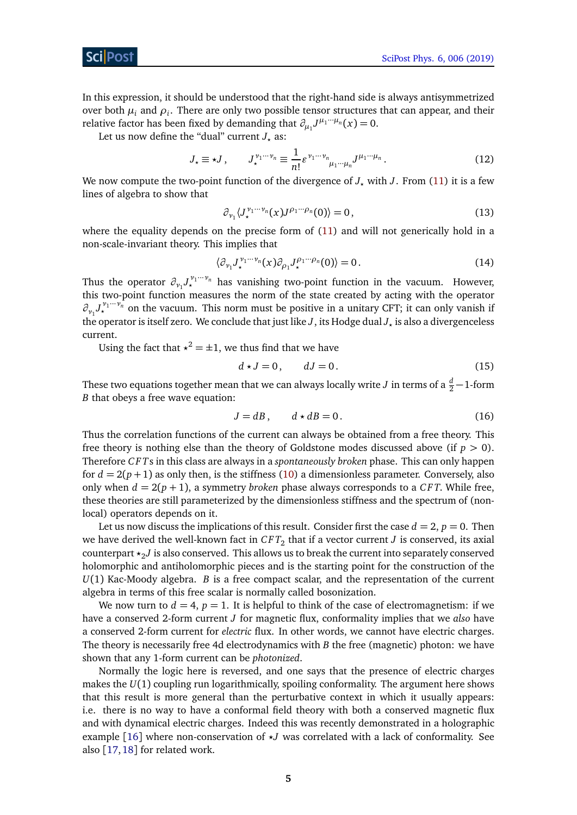In this expression, it should be understood that the right-hand side is always antisymmetrized over both  $\mu_i$  and  $\rho_i$ . There are only two possible tensor structures that can appear, and their relative factor has been fixed by demanding that  $\partial_{\mu_1} J^{\mu_1 \cdots \mu_n}(x) = 0$ .

Let us now define the "dual" current  $J_{\star}$  as:

$$
J_{\star} \equiv \star J, \qquad J_{\star}^{\nu_1 \cdots \nu_n} \equiv \frac{1}{n!} \varepsilon^{\nu_1 \cdots \nu_n} \mu_1 \cdots \mu_n J^{\mu_1 \cdots \mu_n}.
$$
 (12)

We now compute the two-point function of the divergence of  $J<sub>+</sub>$  with  $J<sub>z</sub>$ . From [\(11\)](#page-4-2) it is a few lines of algebra to show that

$$
\partial_{\nu_1} \langle J_{\star}^{\nu_1 \cdots \nu_n}(x) J^{\rho_1 \cdots \rho_n}(0) \rangle = 0, \qquad (13)
$$

where the equality depends on the precise form of [\(11\)](#page-4-2) and will not generically hold in a non-scale-invariant theory. This implies that

$$
\langle \partial_{\nu_1} J_{\star}^{\nu_1 \cdots \nu_n}(x) \partial_{\rho_1} J_{\star}^{\rho_1 \cdots \rho_n}(0) \rangle = 0. \tag{14}
$$

Thus the operator  $\partial_{\nu_1} J_{\star}^{\nu_1 \cdots \nu_n}$  has vanishing two-point function in the vacuum. However, this two-point function measures the norm of the state created by acting with the operator  $\partial_{\nu_1} J_{\star}^{\nu_1 \cdots \nu_n}$  on the vacuum. This norm must be positive in a unitary CFT; it can only vanish if the operator is itself zero. We conclude that just like  $J$  , its Hodge dual  $J_{\star}$  is also a divergenceless current.

Using the fact that  $x^2 = \pm 1$ , we thus find that we have

$$
d \star J = 0, \qquad dJ = 0. \tag{15}
$$

These two equations together mean that we can always locally write  $J$  in terms of a  $\frac{d}{2}\!-\!1\!$ -form *B* that obeys a free wave equation:

$$
J = dB, \qquad d \star dB = 0. \tag{16}
$$

Thus the correlation functions of the current can always be obtained from a free theory. This free theory is nothing else than the theory of Goldstone modes discussed above (if  $p > 0$ ). Therefore *C F T*s in this class are always in a *spontaneously broken* phase. This can only happen for  $d = 2(p + 1)$  as only then, is the stiffness [\(10\)](#page-4-3) a dimensionless parameter. Conversely, also only when  $d = 2(p + 1)$ , a symmetry *broken* phase always corresponds to a *CFT*. While free, these theories are still parameterized by the dimensionless stiffness and the spectrum of (nonlocal) operators depends on it.

Let us now discuss the implications of this result. Consider first the case  $d = 2$ ,  $p = 0$ . Then we have derived the well-known fact in  $CFT_2$  that if a vector current  $J$  is conserved, its axial counterpart  $\star_{2} J$  is also conserved. This allows us to break the current into separately conserved holomorphic and antiholomorphic pieces and is the starting point for the construction of the *U*(1) Kac-Moody algebra. *B* is a free compact scalar, and the representation of the current algebra in terms of this free scalar is normally called bosonization.

We now turn to  $d = 4$ ,  $p = 1$ . It is helpful to think of the case of electromagnetism: if we have a conserved 2-form current *J* for magnetic flux, conformality implies that we *also* have a conserved 2-form current for *electric* flux. In other words, we cannot have electric charges. The theory is necessarily free 4d electrodynamics with *B* the free (magnetic) photon: we have shown that any 1-form current can be *photonized*.

Normally the logic here is reversed, and one says that the presence of electric charges makes the *U*(1) coupling run logarithmically, spoiling conformality. The argument here shows that this result is more general than the perturbative context in which it usually appears: i.e. there is no way to have a conformal field theory with both a conserved magnetic flux and with dynamical electric charges. Indeed this was recently demonstrated in a holographic example  $[16]$  $[16]$  $[16]$  where non-conservation of  $\star J$  was correlated with a lack of conformality. See also [[17,](#page-12-7)[18](#page-12-8)] for related work.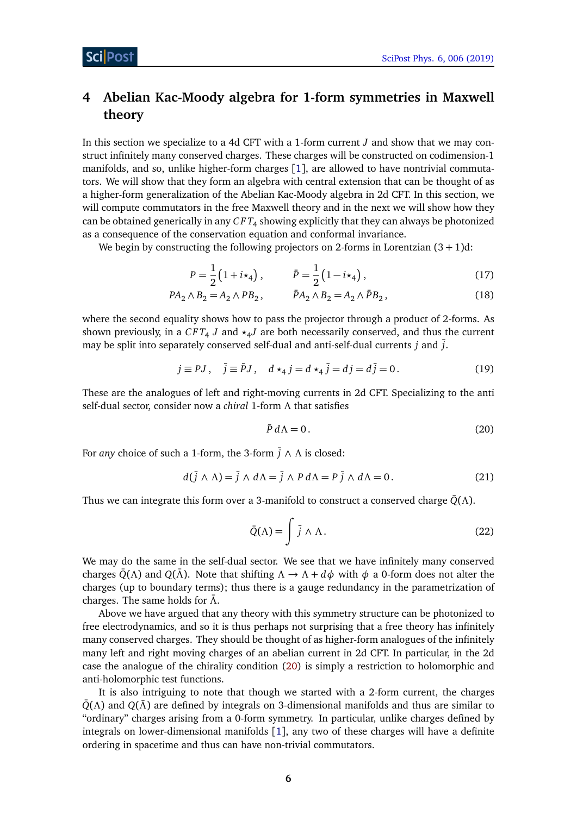# <span id="page-6-0"></span>**4 Abelian Kac-Moody algebra for 1-form symmetries in Maxwell theory**

In this section we specialize to a 4d CFT with a 1-form current *J* and show that we may construct infinitely many conserved charges. These charges will be constructed on codimension-1 manifolds, and so, unlike higher-form charges [[1](#page-11-0)], are allowed to have nontrivial commutators. We will show that they form an algebra with central extension that can be thought of as a higher-form generalization of the Abelian Kac-Moody algebra in 2d CFT. In this section, we will compute commutators in the free Maxwell theory and in the next we will show how they can be obtained generically in any  $\mathit{CFT}_4$  showing explicitly that they can always be photonized as a consequence of the conservation equation and conformal invariance.

We begin by constructing the following projectors on 2-forms in Lorentzian  $(3 + 1)d$ :

$$
P = \frac{1}{2} (1 + i \star_4), \qquad \bar{P} = \frac{1}{2} (1 - i \star_4), \qquad (17)
$$

$$
PA_2 \wedge B_2 = A_2 \wedge PB_2, \qquad \bar{P}A_2 \wedge B_2 = A_2 \wedge \bar{P}B_2, \qquad (18)
$$

where the second equality shows how to pass the projector through a product of 2-forms. As shown previously, in a  $CFT_4$  J and  $\star_4 J$  are both necessarily conserved, and thus the current may be split into separately conserved self-dual and anti-self-dual currents *j* and ¯*j*.

$$
j \equiv PJ, \quad \bar{j} \equiv \bar{P}J, \quad d \star_4 j = d \star_4 \bar{j} = dj = d\bar{j} = 0.
$$
 (19)

These are the analogues of left and right-moving currents in 2d CFT. Specializing to the anti self-dual sector, consider now a *chiral* 1-form *Λ* that satisfies

<span id="page-6-1"></span>
$$
\bar{P} d\Lambda = 0. \tag{20}
$$

For *any* choice of such a 1-form, the 3-form ¯*j* ∧ *Λ* is closed:

$$
d(\bar{j} \wedge \Lambda) = \bar{j} \wedge d\Lambda = \bar{j} \wedge P d\Lambda = P \bar{j} \wedge d\Lambda = 0. \tag{21}
$$

Thus we can integrate this form over a 3-manifold to construct a conserved charge  $\bar{Q}(\Lambda)$ .

$$
\bar{Q}(\Lambda) = \int \bar{j} \wedge \Lambda. \tag{22}
$$

We may do the same in the self-dual sector. We see that we have infinitely many conserved charges  $\bar{Q}(\Lambda)$  and  $Q(\bar{\Lambda})$ . Note that shifting  $\Lambda \to \Lambda + d\phi$  with  $\phi$  a 0-form does not alter the charges (up to boundary terms); thus there is a gauge redundancy in the parametrization of charges. The same holds for  $\bar{\Lambda}$ .

Above we have argued that any theory with this symmetry structure can be photonized to free electrodynamics, and so it is thus perhaps not surprising that a free theory has infinitely many conserved charges. They should be thought of as higher-form analogues of the infinitely many left and right moving charges of an abelian current in 2d CFT. In particular, in the 2d case the analogue of the chirality condition [\(20\)](#page-6-1) is simply a restriction to holomorphic and anti-holomorphic test functions.

It is also intriguing to note that though we started with a 2-form current, the charges  $\overline{Q}(\Lambda)$  and  $Q(\overline{\Lambda})$  are defined by integrals on 3-dimensional manifolds and thus are similar to "ordinary" charges arising from a 0-form symmetry. In particular, unlike charges defined by integrals on lower-dimensional manifolds [[1](#page-11-0)], any two of these charges will have a definite ordering in spacetime and thus can have non-trivial commutators.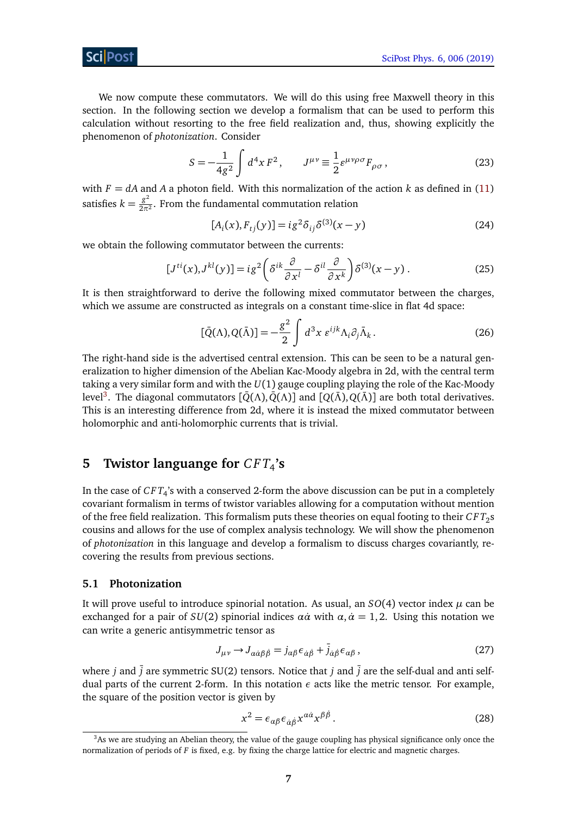We now compute these commutators. We will do this using free Maxwell theory in this section. In the following section we develop a formalism that can be used to perform this calculation without resorting to the free field realization and, thus, showing explicitly the phenomenon of *photonization*. Consider

$$
S = -\frac{1}{4g^2} \int d^4x F^2, \qquad J^{\mu\nu} \equiv \frac{1}{2} \varepsilon^{\mu\nu\rho\sigma} F_{\rho\sigma}, \tag{23}
$$

with  $F = dA$  and A a photon field. With this normalization of the action  $k$  as defined in [\(11\)](#page-4-2) satisfies  $k = \frac{g^2}{2\pi^2}$  $\frac{g}{2\pi^2}$ . From the fundamental commutation relation

<span id="page-7-3"></span>
$$
[Ai(x), Fij(y)] = ig2 \deltaij \delta(3)(x - y)
$$
 (24)

we obtain the following commutator between the currents:

$$
[J^{ti}(x), J^{kl}(y)] = ig^2 \left( \delta^{ik} \frac{\partial}{\partial x^l} - \delta^{il} \frac{\partial}{\partial x^k} \right) \delta^{(3)}(x - y) . \tag{25}
$$

It is then straightforward to derive the following mixed commutator between the charges, which we assume are constructed as integrals on a constant time-slice in flat 4d space:

$$
[\bar{Q}(\Lambda), Q(\bar{\Lambda})] = -\frac{g^2}{2} \int d^3x \; \varepsilon^{ijk} \Lambda_i \partial_j \bar{\Lambda}_k. \tag{26}
$$

The right-hand side is the advertised central extension. This can be seen to be a natural generalization to higher dimension of the Abelian Kac-Moody algebra in 2d, with the central term taking a very similar form and with the *U*(1) gauge coupling playing the role of the Kac-Moody level<sup>[3](#page-7-2)</sup>. The diagonal commutators [ $\bar{Q}(\Lambda), \bar{Q}(\Lambda)$ ] and [ $Q(\bar{\Lambda}), Q(\bar{\Lambda})$ ] are both total derivatives. This is an interesting difference from 2d, where it is instead the mixed commutator between holomorphic and anti-holomorphic currents that is trivial.

# <span id="page-7-0"></span>**5** Twistor languange for  $CFT_4$ 's

In the case of *C F T*<sup>4</sup> 's with a conserved 2-form the above discussion can be put in a completely covariant formalism in terms of twistor variables allowing for a computation without mention of the free field realization. This formalism puts these theories on equal footing to their  $\mathit{CFT}_2\mathrm{s}$ cousins and allows for the use of complex analysis technology. We will show the phenomenon of *photonization* in this language and develop a formalism to discuss charges covariantly, recovering the results from previous sections.

#### <span id="page-7-1"></span>**5.1 Photonization**

It will prove useful to introduce spinorial notation. As usual, an  $SO(4)$  vector index  $\mu$  can be exchanged for a pair of  $SU(2)$  spinorial indices  $\alpha \dot{\alpha}$  with  $\alpha, \dot{\alpha} = 1, 2$ . Using this notation we can write a generic antisymmetric tensor as

$$
J_{\mu\nu} \to J_{\alpha\dot{\alpha}\beta\dot{\beta}} = j_{\alpha\beta}\epsilon_{\dot{\alpha}\dot{\beta}} + \bar{j}_{\dot{\alpha}\dot{\beta}}\epsilon_{\alpha\beta},
$$
\n(27)

where *j* and  $\overline{j}$  are symmetric SU(2) tensors. Notice that *j* and  $\overline{j}$  are the self-dual and anti selfdual parts of the current 2-form. In this notation  $\epsilon$  acts like the metric tensor. For example, the square of the position vector is given by

$$
x^2 = \epsilon_{\alpha\beta}\epsilon_{\dot{\alpha}\dot{\beta}}x^{\alpha\dot{\alpha}}x^{\beta\dot{\beta}}.
$$
 (28)

<span id="page-7-2"></span><sup>3</sup>As we are studying an Abelian theory, the value of the gauge coupling has physical significance only once the normalization of periods of *F* is fixed, e.g. by fixing the charge lattice for electric and magnetic charges.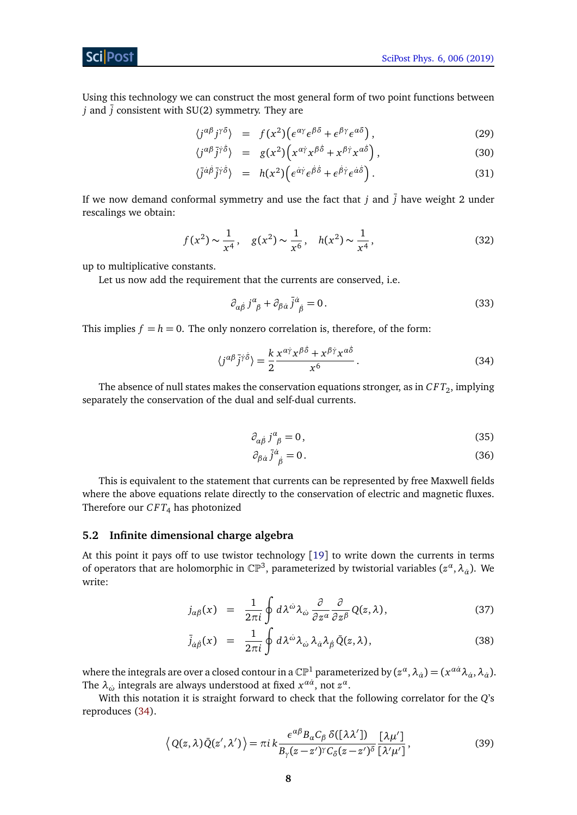#### Sci Post

Using this technology we can construct the most general form of two point functions between *j* and  $\overline{j}$  consistent with SU(2) symmetry. They are

<span id="page-8-4"></span>
$$
\langle j^{\alpha\beta} j^{\gamma\delta} \rangle = f(x^2) \big( \epsilon^{\alpha\gamma} \epsilon^{\beta\delta} + \epsilon^{\beta\gamma} \epsilon^{\alpha\delta} \big) \,, \tag{29}
$$

$$
\langle j^{\alpha\beta}\bar{j}^{\dot{\gamma}\dot{\delta}}\rangle = g(x^2)\Big(x^{\alpha\dot{\gamma}}x^{\beta\dot{\delta}} + x^{\beta\dot{\gamma}}x^{\alpha\dot{\delta}}\Big),\tag{30}
$$

$$
\langle \bar{j}^{\dot{\alpha}\dot{\beta}} \bar{j}^{\dot{\gamma}\dot{\delta}} \rangle = h(x^2) \Big( \epsilon^{\dot{\alpha}\dot{\gamma}} \epsilon^{\dot{\beta}\dot{\delta}} + \epsilon^{\dot{\beta}\dot{\gamma}} \epsilon^{\dot{\alpha}\dot{\delta}} \Big). \tag{31}
$$

If we now demand conformal symmetry and use the fact that  $j$  and  $\overline{j}$  have weight 2 under rescalings we obtain:

<span id="page-8-3"></span>
$$
f(x^2) \sim \frac{1}{x^4}
$$
,  $g(x^2) \sim \frac{1}{x^6}$ ,  $h(x^2) \sim \frac{1}{x^4}$ , (32)

up to multiplicative constants.

Let us now add the requirement that the currents are conserved, i.e.

<span id="page-8-1"></span>
$$
\partial_{\alpha\dot{\beta}}j^{\alpha}_{\ \beta} + \partial_{\beta\dot{\alpha}}\bar{j}^{\dot{\alpha}}_{\ \dot{\beta}} = 0. \tag{33}
$$

This implies  $f = h = 0$ . The only nonzero correlation is, therefore, of the form:

$$
\langle j^{\alpha\beta}\bar{j}^{\gamma\delta}\rangle = \frac{k}{2} \frac{x^{\alpha\dot{\gamma}}x^{\beta\dot{\delta}} + x^{\beta\dot{\gamma}}x^{\alpha\dot{\delta}}}{x^6} \,. \tag{34}
$$

The absence of null states makes the conservation equations stronger, as in  $\mathit{CFT}_2,$  implying separately the conservation of the dual and self-dual currents.

$$
\partial_{\alpha\dot{\beta}}j^{\alpha}_{\ \beta}=0\,,\tag{35}
$$

$$
\partial_{\beta\dot{\alpha}}\,\bar{j}^{\dot{\alpha}}_{\dot{\beta}}=0\,. \tag{36}
$$

This is equivalent to the statement that currents can be represented by free Maxwell fields where the above equations relate directly to the conservation of electric and magnetic fluxes. Therefore our  $CFT_4$  has photonized

#### <span id="page-8-0"></span>**5.2 Infinite dimensional charge algebra**

At this point it pays off to use twistor technology [[19](#page-12-9)] to write down the currents in terms of operators that are holomorphic in  $\mathbb{CP}^3$ , parameterized by twistorial variables  $(z^\alpha, \lambda_\alpha)$ . We write:

<span id="page-8-2"></span>
$$
j_{\alpha\beta}(x) = \frac{1}{2\pi i} \oint d\lambda^{\omega} \lambda_{\omega} \frac{\partial}{\partial z^{\alpha}} \frac{\partial}{\partial z^{\beta}} Q(z,\lambda), \qquad (37)
$$

$$
\bar{j}_{\dot{\alpha}\dot{\beta}}(x) = \frac{1}{2\pi i} \oint d\lambda^{\dot{\omega}} \lambda_{\dot{\omega}} \lambda_{\dot{\alpha}} \lambda_{\dot{\beta}} \bar{Q}(z,\lambda), \qquad (38)
$$

where the integrals are over a closed contour in a  $\mathbb{CP}^1$  parameterized by  $(z^\alpha, \lambda_{\dot\alpha})=(x^{a\dot\alpha}\lambda_{\dot\alpha},\lambda_{\dot\alpha}).$ The  $\lambda_{\dot\omega}$  integrals are always understood at fixed  $x^{a\dot a},$  not  $z^a.$ 

With this notation it is straight forward to check that the following correlator for the *Q*'s reproduces [\(34\)](#page-8-1).

$$
\langle Q(z,\lambda)\bar{Q}(z',\lambda')\rangle = \pi i k \frac{\epsilon^{\alpha\beta} B_{\alpha} C_{\beta} \delta([\lambda\lambda'])}{B_{\gamma}(z-z')^{\gamma} C_{\delta}(z-z')^{\delta}} \frac{[\lambda\mu']} {[\lambda'\mu']} ,
$$
 (39)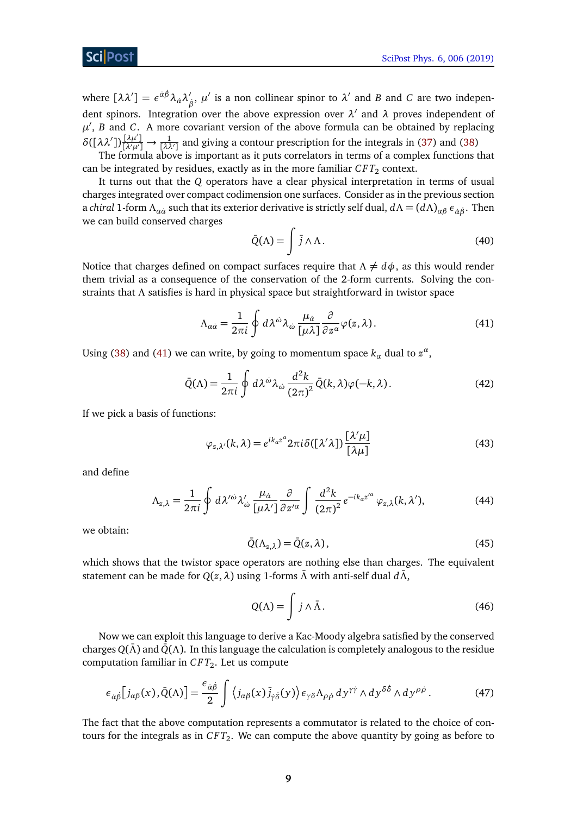#### **ScilPos**

where  $[\lambda \lambda'] = \epsilon^{\dot{\alpha}\dot{\beta}} \lambda_{\dot{\alpha}} \lambda'_{\dot{\beta}}$  $\beta$ <sup>*β*</sup>,  $\mu'$  is a non collinear spinor to  $\lambda'$  and *B* and *C* are two independent spinors. Integration over the above expression over  $\lambda'$  and  $\lambda$  proves independent of  $\mu'$ , *B* and *C*. A more covariant version of the above formula can be obtained by replacing  $\delta([\lambda \lambda'])\frac{[\lambda \mu']}{{\lambda \lambda \mu'}} \to \frac{1}{[\lambda \lambda']}$  and giving a contour prescription for the integrals in [\(37\)](#page-8-2) and [\(38\)](#page-8-2)

The formula above is important as it puts correlators in terms of a complex functions that can be integrated by residues, exactly as in the more familiar  $\mathit{CFT}_2$  context.

It turns out that the *Q* operators have a clear physical interpretation in terms of usual charges integrated over compact codimension one surfaces. Consider as in the previous section a *chiral* 1-form *Λαα*˙ such that its exterior derivative is strictly self dual, *dΛ* = (*dΛ*)*αβ εα*˙*β*˙. Then we can build conserved charges

<span id="page-9-0"></span>
$$
\bar{Q}(\Lambda) = \int \bar{j} \wedge \Lambda. \tag{40}
$$

Notice that charges defined on compact surfaces require that  $\Lambda \neq d\phi$ , as this would render them trivial as a consequence of the conservation of the 2-form currents. Solving the constraints that *Λ* satisfies is hard in physical space but straightforward in twistor space

$$
\Lambda_{\alpha\dot{\alpha}} = \frac{1}{2\pi i} \oint d\lambda^{\dot{\omega}} \lambda_{\dot{\omega}} \frac{\mu_{\dot{\alpha}}}{[\mu \lambda]} \frac{\partial}{\partial z^{\alpha}} \varphi(z, \lambda). \tag{41}
$$

Using [\(38\)](#page-8-2) and [\(41\)](#page-9-0) we can write, by going to momentum space  $k_{\alpha}$  dual to  $z^{\alpha}$ ,

$$
\bar{Q}(\Lambda) = \frac{1}{2\pi i} \oint d\lambda^{\omega} \lambda_{\omega} \frac{d^2 k}{(2\pi)^2} \bar{Q}(k,\lambda) \varphi(-k,\lambda).
$$
 (42)

If we pick a basis of functions:

$$
\varphi_{z,\lambda'}(k,\lambda) = e^{ik_{\alpha}z^{\alpha}} 2\pi i \delta([\lambda'\lambda]) \frac{[\lambda'\mu]}{[\lambda\mu]}
$$
(43)

and define

$$
\Lambda_{z,\lambda} = \frac{1}{2\pi i} \oint d\lambda^{\prime \dot{\omega}} \lambda_{\dot{\omega}}^{\prime} \frac{\mu_{\dot{\alpha}}}{\left[\mu \lambda^{\prime}\right]} \frac{\partial}{\partial z^{\prime \alpha}} \int \frac{d^2 k}{\left(2\pi\right)^2} e^{-ik_{\alpha} z^{\prime \alpha}} \varphi_{z,\lambda}(k,\lambda^{\prime}), \tag{44}
$$

we obtain:

$$
\bar{Q}(\Lambda_{z,\lambda}) = \bar{Q}(z,\lambda),\tag{45}
$$

which shows that the twistor space operators are nothing else than charges. The equivalent statement can be made for  $Q(z, λ)$  using 1-forms  $\bar{Λ}$  with anti-self dual  $d\bar{Λ}$ ,

$$
Q(\Lambda) = \int j \wedge \bar{\Lambda}.\tag{46}
$$

Now we can exploit this language to derive a Kac-Moody algebra satisfied by the conserved charges *Q*(*Λ*¯) and *Q*¯(*Λ*). In this language the calculation is completely analogous to the residue computation familiar in *C F T*<sup>2</sup> . Let us compute

$$
\epsilon_{\dot{\alpha}\dot{\beta}}[j_{\alpha\beta}(x),\bar{Q}(\Lambda)] = \frac{\epsilon_{\dot{\alpha}\dot{\beta}}}{2} \int \langle j_{\alpha\beta}(x)\bar{j}_{\dot{\gamma}\dot{\delta}}(y)\rangle \epsilon_{\gamma\delta}\Lambda_{\rho\dot{\rho}} dy^{\gamma\dot{\gamma}} \wedge dy^{\delta\dot{\delta}} \wedge dy^{\rho\dot{\rho}}.
$$
 (47)

The fact that the above computation represents a commutator is related to the choice of contours for the integrals as in  $\mathit{CFT}_2.$  We can compute the above quantity by going as before to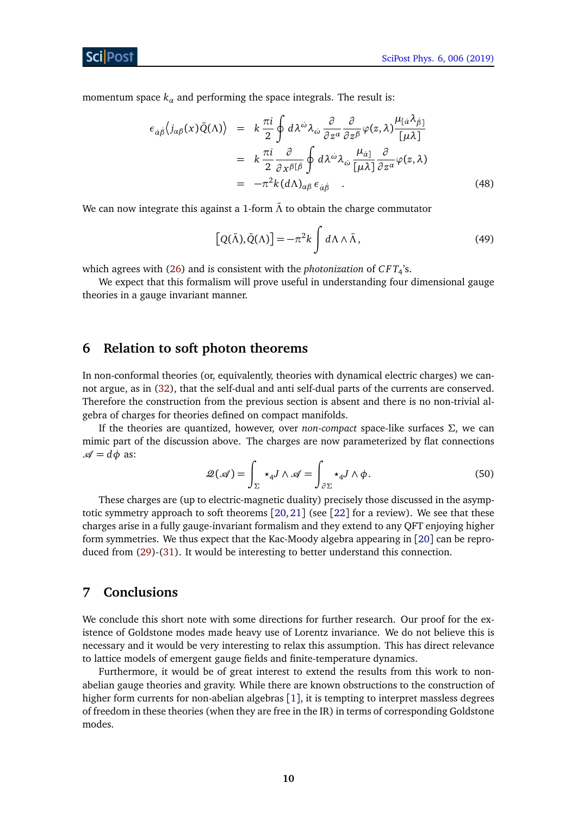momentum space  $k_a$  and performing the space integrals. The result is:

$$
\epsilon_{\dot{\alpha}\dot{\beta}}\langle j_{\alpha\beta}(x)\bar{Q}(\Lambda)\rangle = k \frac{\pi i}{2} \oint d\lambda^{\dot{\omega}}\lambda_{\dot{\omega}} \frac{\partial}{\partial z^{\alpha}} \frac{\partial}{\partial z^{\beta}} \varphi(z,\lambda) \frac{\mu_{[\dot{\alpha}}\lambda_{\dot{\beta}}]}{[\mu\lambda]}
$$
  
\n
$$
= k \frac{\pi i}{2} \frac{\partial}{\partial x^{\beta[\dot{\beta}}} \oint d\lambda^{\dot{\omega}}\lambda_{\dot{\omega}} \frac{\mu_{\dot{\alpha}]}}{[\mu\lambda]} \frac{\partial}{\partial z^{\alpha}} \varphi(z,\lambda)
$$
  
\n
$$
= -\pi^2 k (d\Lambda)_{\alpha\beta} \epsilon_{\dot{\alpha}\dot{\beta}} . \tag{48}
$$

We can now integrate this against a 1-form  $\bar{\Lambda}$  to obtain the charge commutator

$$
[Q(\bar{\Lambda}), \bar{Q}(\Lambda)] = -\pi^2 k \int d\Lambda \wedge \bar{\Lambda}, \qquad (49)
$$

which agrees with [\(26\)](#page-7-3) and is consistent with the *photonization* of *C F T*<sup>4</sup> 's.

We expect that this formalism will prove useful in understanding four dimensional gauge theories in a gauge invariant manner.

### <span id="page-10-0"></span>**6 Relation to soft photon theorems**

In non-conformal theories (or, equivalently, theories with dynamical electric charges) we cannot argue, as in [\(32\)](#page-8-3), that the self-dual and anti self-dual parts of the currents are conserved. Therefore the construction from the previous section is absent and there is no non-trivial algebra of charges for theories defined on compact manifolds.

If the theories are quantized, however, over *non-compact* space-like surfaces *Σ*, we can mimic part of the discussion above. The charges are now parameterized by flat connections  $\mathcal{A} = d\phi$  as:

$$
\mathcal{Q}(\mathscr{A}) = \int_{\Sigma} \star_4 J \wedge \mathscr{A} = \int_{\partial \Sigma} \star_4 J \wedge \phi. \tag{50}
$$

These charges are (up to electric-magnetic duality) precisely those discussed in the asymptotic symmetry approach to soft theorems [[20,](#page-12-10) [21](#page-13-0)] (see [[22](#page-13-1)] for a review). We see that these charges arise in a fully gauge-invariant formalism and they extend to any QFT enjoying higher form symmetries. We thus expect that the Kac-Moody algebra appearing in [[20](#page-12-10)] can be reproduced from [\(29\)](#page-8-4)-[\(31\)](#page-8-4). It would be interesting to better understand this connection.

## <span id="page-10-1"></span>**7 Conclusions**

We conclude this short note with some directions for further research. Our proof for the existence of Goldstone modes made heavy use of Lorentz invariance. We do not believe this is necessary and it would be very interesting to relax this assumption. This has direct relevance to lattice models of emergent gauge fields and finite-temperature dynamics.

Furthermore, it would be of great interest to extend the results from this work to nonabelian gauge theories and gravity. While there are known obstructions to the construction of higher form currents for non-abelian algebras [[1](#page-11-0)], it is tempting to interpret massless degrees of freedom in these theories (when they are free in the IR) in terms of corresponding Goldstone modes.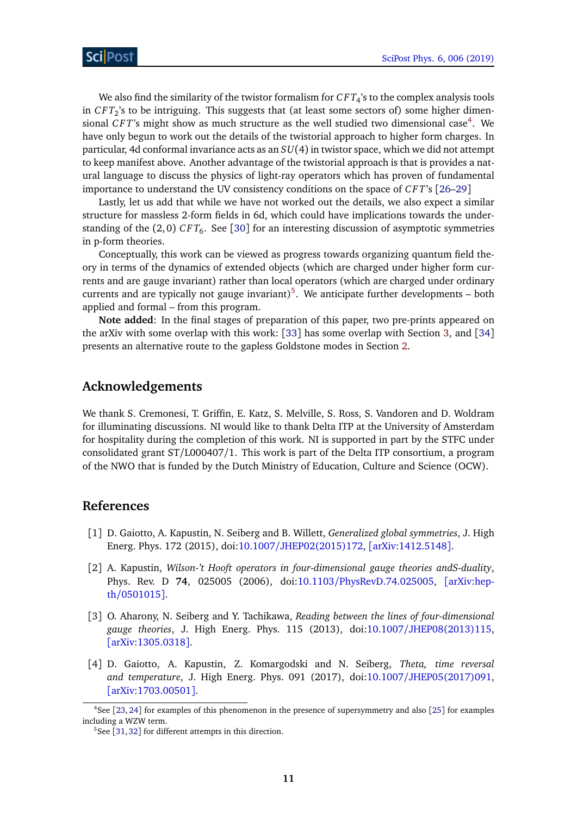We also find the similarity of the twistor formalism for  $CFT_4$ 's to the complex analysis tools in *C F T*<sup>2</sup> 's to be intriguing. This suggests that (at least some sectors of) some higher dimen-sional CFT's might show as much structure as the well studied two dimensional case<sup>[4](#page-11-4)</sup>. We have only begun to work out the details of the twistorial approach to higher form charges. In particular, 4d conformal invariance acts as an *SU*(4) in twistor space, which we did not attempt to keep manifest above. Another advantage of the twistorial approach is that is provides a natural language to discuss the physics of light-ray operators which has proven of fundamental importance to understand the UV consistency conditions on the space of *C F T*'s [[26](#page-13-2)[–29](#page-13-3)]

Lastly, let us add that while we have not worked out the details, we also expect a similar structure for massless 2-form fields in 6d, which could have implications towards the understanding of the (2,0)  $CFT_6$ . See [[30](#page-13-4)] for an interesting discussion of asymptotic symmetries in p-form theories.

Conceptually, this work can be viewed as progress towards organizing quantum field theory in terms of the dynamics of extended objects (which are charged under higher form currents and are gauge invariant) rather than local operators (which are charged under ordinary currents and are typically not gauge invariant)<sup>[5](#page-11-5)</sup>. We anticipate further developments  $-$  both applied and formal – from this program.

**Note added**: In the final stages of preparation of this paper, two pre-prints appeared on the arXiv with some overlap with this work: [[33](#page-13-5)] has some overlap with Section [3,](#page-4-0) and [[34](#page-13-6)] presents an alternative route to the gapless Goldstone modes in Section [2.](#page-2-1)

### **Acknowledgements**

We thank S. Cremonesi, T. Griffin, E. Katz, S. Melville, S. Ross, S. Vandoren and D. Woldram for illuminating discussions. NI would like to thank Delta ITP at the University of Amsterdam for hospitality during the completion of this work. NI is supported in part by the STFC under consolidated grant ST/L000407/1. This work is part of the Delta ITP consortium, a program of the NWO that is funded by the Dutch Ministry of Education, Culture and Science (OCW).

#### **References**

- <span id="page-11-0"></span>[1] D. Gaiotto, A. Kapustin, N. Seiberg and B. Willett, *Generalized global symmetries*, J. High Energ. Phys. 172 (2015), doi:10.1007/[JHEP02\(2015\)172,](http://dx.doi.org/10.1007/JHEP02(2015)172) [[arXiv:1412.5148](https://arxiv.org/abs/1412.5148)].
- <span id="page-11-1"></span>[2] A. Kapustin, *Wilson-'t Hooft operators in four-dimensional gauge theories andS-duality*, Phys. Rev. D **74**, 025005 (2006), doi:10.1103/[PhysRevD.74.025005,](http://dx.doi.org/10.1103/PhysRevD.74.025005) [[arXiv:hep](https://arxiv.org/abs/hep-th/0501015)th/[0501015](https://arxiv.org/abs/hep-th/0501015)].
- <span id="page-11-2"></span>[3] O. Aharony, N. Seiberg and Y. Tachikawa, *Reading between the lines of four-dimensional gauge theories*, J. High Energ. Phys. 115 (2013), doi:10.1007/[JHEP08\(2013\)115,](http://dx.doi.org/10.1007/JHEP08(2013)115) [[arXiv:1305.0318](https://arxiv.org/abs/1305.0318)].
- <span id="page-11-3"></span>[4] D. Gaiotto, A. Kapustin, Z. Komargodski and N. Seiberg, *Theta, time reversal and temperature*, J. High Energ. Phys. 091 (2017), doi:10.1007/[JHEP05\(2017\)091,](http://dx.doi.org/10.1007/JHEP05(2017)091) [[arXiv:1703.00501](https://arxiv.org/abs/1703.00501)].

<span id="page-11-4"></span><sup>4</sup>See [[23,](#page-13-7) [24](#page-13-8)] for examples of this phenomenon in the presence of supersymmetry and also [[25](#page-13-9)] for examples including a WZW term.

<span id="page-11-5"></span> $5$ See [[31,](#page-13-10)[32](#page-13-11)] for different attempts in this direction.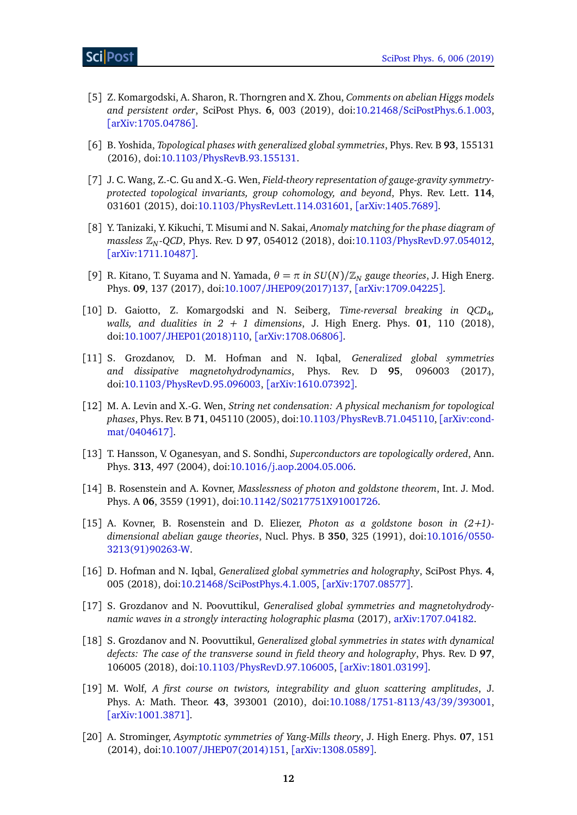- [5] Z. Komargodski, A. Sharon, R. Thorngren and X. Zhou, *Comments on abelian Higgs models and persistent order*, SciPost Phys. **6**, 003 (2019), doi:10.21468/[SciPostPhys.6.1.003,](http://dx.doi.org/10.21468/SciPostPhys.6.1.003) [[arXiv:1705.04786](https://arxiv.org/abs/1705.04786)].
- [6] B. Yoshida, *Topological phases with generalized global symmetries*, Phys. Rev. B **93**, 155131 (2016), doi:10.1103/[PhysRevB.93.155131.](http://dx.doi.org/10.1103/PhysRevB.93.155131)
- [7] J. C. Wang, Z.-C. Gu and X.-G. Wen, *Field-theory representation of gauge-gravity symmetryprotected topological invariants, group cohomology, and beyond*, Phys. Rev. Lett. **114**, 031601 (2015), doi:10.1103/[PhysRevLett.114.031601,](http://dx.doi.org/10.1103/PhysRevLett.114.031601) [[arXiv:1405.7689](https://arxiv.org/abs/1405.7689)].
- [8] Y. Tanizaki, Y. Kikuchi, T. Misumi and N. Sakai, *Anomaly matching for the phase diagram of massless* Z*<sup>N</sup> -QCD*, Phys. Rev. D **97**, 054012 (2018), doi:10.1103/[PhysRevD.97.054012,](http://dx.doi.org/10.1103/PhysRevD.97.054012) [[arXiv:1711.10487](https://arxiv.org/abs/1711.10487)].
- [9] R. Kitano, T. Suyama and N. Yamada,  $\theta = \pi$  *in SU(N)/Z<sub>N</sub>* gauge theories, J. High Energ. Phys. **09**, 137 (2017), doi:10.1007/[JHEP09\(2017\)137,](http://dx.doi.org/10.1007/JHEP09(2017)137) [[arXiv:1709.04225](https://arxiv.org/abs/1709.04225)].
- <span id="page-12-0"></span>[10] D. Gaiotto, Z. Komargodski and N. Seiberg, *Time-reversal breaking in QCD*<sup>4</sup> *, walls, and dualities in*  $2 + 1$  *dimensions, J. High Energ. Phys. 01, 110 (2018),* doi:10.1007/[JHEP01\(2018\)110,](http://dx.doi.org/10.1007/JHEP01(2018)110) [[arXiv:1708.06806](https://arxiv.org/abs/1708.06806)].
- <span id="page-12-1"></span>[11] S. Grozdanov, D. M. Hofman and N. Iqbal, *Generalized global symmetries and dissipative magnetohydrodynamics*, Phys. Rev. D **95**, 096003 (2017), doi:10.1103/[PhysRevD.95.096003,](http://dx.doi.org/10.1103/PhysRevD.95.096003) [[arXiv:1610.07392](https://arxiv.org/abs/1610.07392)].
- <span id="page-12-2"></span>[12] M. A. Levin and X.-G. Wen, *String net condensation: A physical mechanism for topological phases*, Phys. Rev. B **71**, 045110 (2005), doi:10.1103/[PhysRevB.71.045110,](http://dx.doi.org/10.1103/PhysRevB.71.045110) [[arXiv:cond](https://arxiv.org/abs/cond-mat/0404617)mat/[0404617](https://arxiv.org/abs/cond-mat/0404617)].
- <span id="page-12-3"></span>[13] T. Hansson, V. Oganesyan, and S. Sondhi, *Superconductors are topologically ordered*, Ann. Phys. **313**, 497 (2004), doi:10.1016/[j.aop.2004.05.006.](http://dx.doi.org/10.1016/j.aop.2004.05.006)
- <span id="page-12-4"></span>[14] B. Rosenstein and A. Kovner, *Masslessness of photon and goldstone theorem*, Int. J. Mod. Phys. A **06**, 3559 (1991), doi:10.1142/[S0217751X91001726.](http://dx.doi.org/10.1142/S0217751X91001726)
- <span id="page-12-5"></span>[15] A. Kovner, B. Rosenstein and D. Eliezer, *Photon as a goldstone boson in (2+1) dimensional abelian gauge theories*, Nucl. Phys. B **350**, 325 (1991), doi[:10.1016](http://dx.doi.org/10.1016/0550-3213(91)90263-W)/0550- [3213\(91\)90263-W.](http://dx.doi.org/10.1016/0550-3213(91)90263-W)
- <span id="page-12-6"></span>[16] D. Hofman and N. Iqbal, *Generalized global symmetries and holography*, SciPost Phys. **4**, 005 (2018), doi:10.21468/[SciPostPhys.4.1.005,](http://dx.doi.org/10.21468/SciPostPhys.4.1.005) [[arXiv:1707.08577](https://arxiv.org/abs/1707.08577)].
- <span id="page-12-7"></span>[17] S. Grozdanov and N. Poovuttikul, *Generalised global symmetries and magnetohydrodynamic waves in a strongly interacting holographic plasma* (2017), [arXiv:1707.04182.](https://arxiv.org/abs/1707.04182)
- <span id="page-12-8"></span>[18] S. Grozdanov and N. Poovuttikul, *Generalized global symmetries in states with dynamical defects: The case of the transverse sound in field theory and holography*, Phys. Rev. D **97**, 106005 (2018), doi:10.1103/[PhysRevD.97.106005,](http://dx.doi.org/10.1103/PhysRevD.97.106005) [[arXiv:1801.03199](https://arxiv.org/abs/1801.03199)].
- <span id="page-12-9"></span>[19] M. Wolf, *A first course on twistors, integrability and gluon scattering amplitudes*, J. Phys. A: Math. Theor. **43**, 393001 (2010), doi:10.1088/[1751-8113](http://dx.doi.org/10.1088/1751-8113/43/39/393001)/43/39/393001, [[arXiv:1001.3871](https://arxiv.org/abs/1001.3871)].
- <span id="page-12-10"></span>[20] A. Strominger, *Asymptotic symmetries of Yang-Mills theory*, J. High Energ. Phys. **07**, 151 (2014), doi:10.1007/[JHEP07\(2014\)151,](http://dx.doi.org/10.1007/JHEP07(2014)151) [[arXiv:1308.0589](https://arxiv.org/abs/1308.0589)].